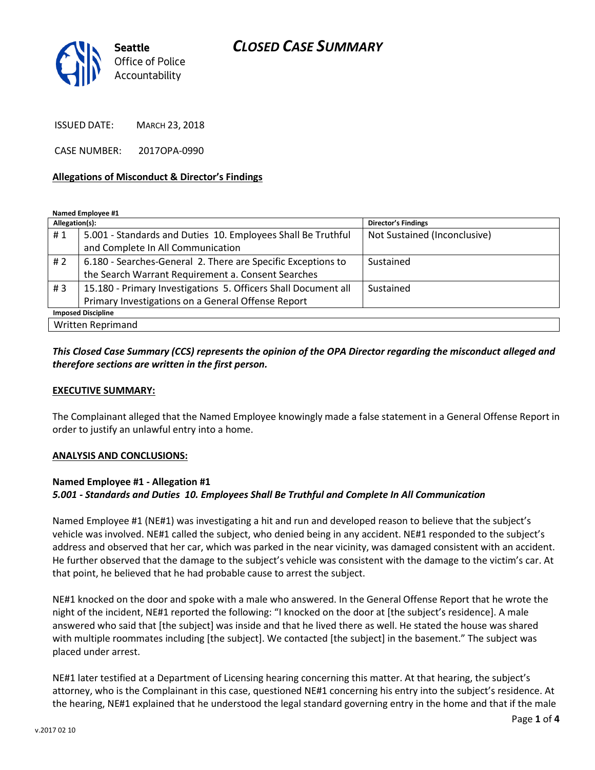# *CLOSED CASE SUMMARY*



ISSUED DATE: MARCH 23, 2018

CASE NUMBER: 2017OPA-0990

#### **Allegations of Misconduct & Director's Findings**

**Named Employee #1**

| Allegation(s):            |                                                                | Director's Findings          |
|---------------------------|----------------------------------------------------------------|------------------------------|
| #1                        | 5.001 - Standards and Duties 10. Employees Shall Be Truthful   | Not Sustained (Inconclusive) |
|                           | and Complete In All Communication                              |                              |
| # $2$                     | 6.180 - Searches-General 2. There are Specific Exceptions to   | Sustained                    |
|                           | the Search Warrant Requirement a. Consent Searches             |                              |
| #3                        | 15.180 - Primary Investigations 5. Officers Shall Document all | Sustained                    |
|                           | Primary Investigations on a General Offense Report             |                              |
| <b>Imposed Discipline</b> |                                                                |                              |
| Written Reprimand         |                                                                |                              |

### *This Closed Case Summary (CCS) represents the opinion of the OPA Director regarding the misconduct alleged and therefore sections are written in the first person.*

#### **EXECUTIVE SUMMARY:**

The Complainant alleged that the Named Employee knowingly made a false statement in a General Offense Report in order to justify an unlawful entry into a home.

#### **ANALYSIS AND CONCLUSIONS:**

### **Named Employee #1 - Allegation #1** *5.001 - Standards and Duties 10. Employees Shall Be Truthful and Complete In All Communication*

Named Employee #1 (NE#1) was investigating a hit and run and developed reason to believe that the subject's vehicle was involved. NE#1 called the subject, who denied being in any accident. NE#1 responded to the subject's address and observed that her car, which was parked in the near vicinity, was damaged consistent with an accident. He further observed that the damage to the subject's vehicle was consistent with the damage to the victim's car. At that point, he believed that he had probable cause to arrest the subject.

NE#1 knocked on the door and spoke with a male who answered. In the General Offense Report that he wrote the night of the incident, NE#1 reported the following: "I knocked on the door at [the subject's residence]. A male answered who said that [the subject] was inside and that he lived there as well. He stated the house was shared with multiple roommates including [the subject]. We contacted [the subject] in the basement." The subject was placed under arrest.

NE#1 later testified at a Department of Licensing hearing concerning this matter. At that hearing, the subject's attorney, who is the Complainant in this case, questioned NE#1 concerning his entry into the subject's residence. At the hearing, NE#1 explained that he understood the legal standard governing entry in the home and that if the male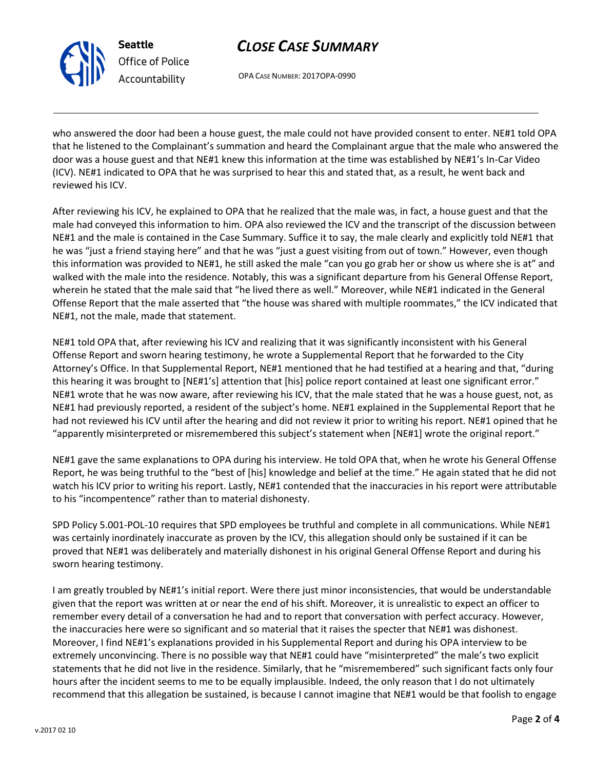v.2017 02 10

**Seattle** *Office of Police Accountability*

# *CLOSE CASE SUMMARY*

OPA CASE NUMBER: 2017OPA-0990

who answered the door had been a house guest, the male could not have provided consent to enter. NE#1 told OPA that he listened to the Complainant's summation and heard the Complainant argue that the male who answered the door was a house guest and that NE#1 knew this information at the time was established by NE#1's In-Car Video (ICV). NE#1 indicated to OPA that he was surprised to hear this and stated that, as a result, he went back and reviewed his ICV.

After reviewing his ICV, he explained to OPA that he realized that the male was, in fact, a house guest and that the male had conveyed this information to him. OPA also reviewed the ICV and the transcript of the discussion between NE#1 and the male is contained in the Case Summary. Suffice it to say, the male clearly and explicitly told NE#1 that he was "just a friend staying here" and that he was "just a guest visiting from out of town." However, even though this information was provided to NE#1, he still asked the male "can you go grab her or show us where she is at" and walked with the male into the residence. Notably, this was a significant departure from his General Offense Report, wherein he stated that the male said that "he lived there as well." Moreover, while NE#1 indicated in the General Offense Report that the male asserted that "the house was shared with multiple roommates," the ICV indicated that NE#1, not the male, made that statement.

NE#1 told OPA that, after reviewing his ICV and realizing that it was significantly inconsistent with his General Offense Report and sworn hearing testimony, he wrote a Supplemental Report that he forwarded to the City Attorney's Office. In that Supplemental Report, NE#1 mentioned that he had testified at a hearing and that, "during this hearing it was brought to [NE#1's] attention that [his] police report contained at least one significant error." NE#1 wrote that he was now aware, after reviewing his ICV, that the male stated that he was a house guest, not, as NE#1 had previously reported, a resident of the subject's home. NE#1 explained in the Supplemental Report that he had not reviewed his ICV until after the hearing and did not review it prior to writing his report. NE#1 opined that he "apparently misinterpreted or misremembered this subject's statement when [NE#1] wrote the original report."

NE#1 gave the same explanations to OPA during his interview. He told OPA that, when he wrote his General Offense Report, he was being truthful to the "best of [his] knowledge and belief at the time." He again stated that he did not watch his ICV prior to writing his report. Lastly, NE#1 contended that the inaccuracies in his report were attributable to his "incompentence" rather than to material dishonesty.

SPD Policy 5.001-POL-10 requires that SPD employees be truthful and complete in all communications. While NE#1 was certainly inordinately inaccurate as proven by the ICV, this allegation should only be sustained if it can be proved that NE#1 was deliberately and materially dishonest in his original General Offense Report and during his sworn hearing testimony.

I am greatly troubled by NE#1's initial report. Were there just minor inconsistencies, that would be understandable given that the report was written at or near the end of his shift. Moreover, it is unrealistic to expect an officer to remember every detail of a conversation he had and to report that conversation with perfect accuracy. However, the inaccuracies here were so significant and so material that it raises the specter that NE#1 was dishonest. Moreover, I find NE#1's explanations provided in his Supplemental Report and during his OPA interview to be extremely unconvincing. There is no possible way that NE#1 could have "misinterpreted" the male's two explicit statements that he did not live in the residence. Similarly, that he "misremembered" such significant facts only four hours after the incident seems to me to be equally implausible. Indeed, the only reason that I do not ultimately recommend that this allegation be sustained, is because I cannot imagine that NE#1 would be that foolish to engage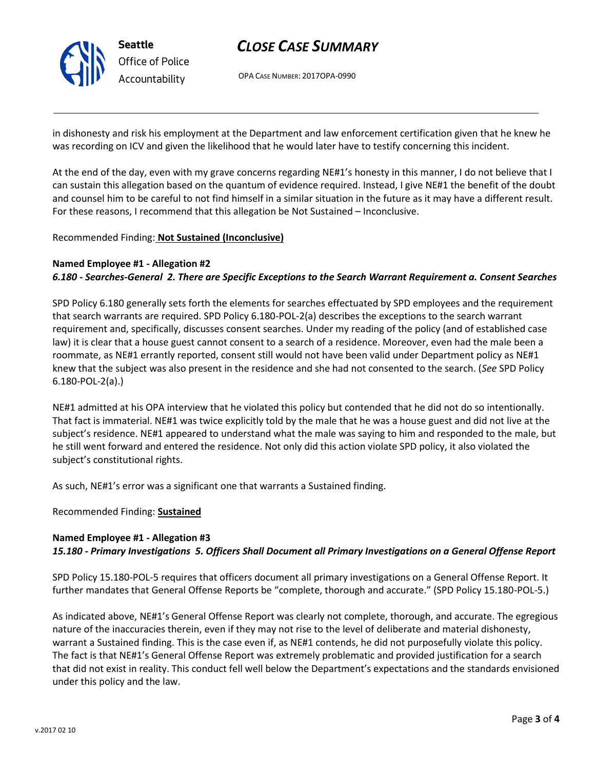

# *CLOSE CASE SUMMARY*

OPA CASE NUMBER: 2017OPA-0990

in dishonesty and risk his employment at the Department and law enforcement certification given that he knew he was recording on ICV and given the likelihood that he would later have to testify concerning this incident.

At the end of the day, even with my grave concerns regarding NE#1's honesty in this manner, I do not believe that I can sustain this allegation based on the quantum of evidence required. Instead, I give NE#1 the benefit of the doubt and counsel him to be careful to not find himself in a similar situation in the future as it may have a different result. For these reasons, I recommend that this allegation be Not Sustained – Inconclusive.

### Recommended Finding: **Not Sustained (Inconclusive)**

### **Named Employee #1 - Allegation #2**

## *6.180 - Searches-General 2. There are Specific Exceptions to the Search Warrant Requirement a. Consent Searches*

SPD Policy 6.180 generally sets forth the elements for searches effectuated by SPD employees and the requirement that search warrants are required. SPD Policy 6.180-POL-2(a) describes the exceptions to the search warrant requirement and, specifically, discusses consent searches. Under my reading of the policy (and of established case law) it is clear that a house guest cannot consent to a search of a residence. Moreover, even had the male been a roommate, as NE#1 errantly reported, consent still would not have been valid under Department policy as NE#1 knew that the subject was also present in the residence and she had not consented to the search. (*See* SPD Policy 6.180-POL-2(a).)

NE#1 admitted at his OPA interview that he violated this policy but contended that he did not do so intentionally. That fact is immaterial. NE#1 was twice explicitly told by the male that he was a house guest and did not live at the subject's residence. NE#1 appeared to understand what the male was saying to him and responded to the male, but he still went forward and entered the residence. Not only did this action violate SPD policy, it also violated the subject's constitutional rights.

As such, NE#1's error was a significant one that warrants a Sustained finding.

Recommended Finding: **Sustained**

### **Named Employee #1 - Allegation #3**

*15.180 - Primary Investigations 5. Officers Shall Document all Primary Investigations on a General Offense Report*

SPD Policy 15.180-POL-5 requires that officers document all primary investigations on a General Offense Report. It further mandates that General Offense Reports be "complete, thorough and accurate." (SPD Policy 15.180-POL-5.)

As indicated above, NE#1's General Offense Report was clearly not complete, thorough, and accurate. The egregious nature of the inaccuracies therein, even if they may not rise to the level of deliberate and material dishonesty, warrant a Sustained finding. This is the case even if, as NE#1 contends, he did not purposefully violate this policy. The fact is that NE#1's General Offense Report was extremely problematic and provided justification for a search that did not exist in reality. This conduct fell well below the Department's expectations and the standards envisioned under this policy and the law.